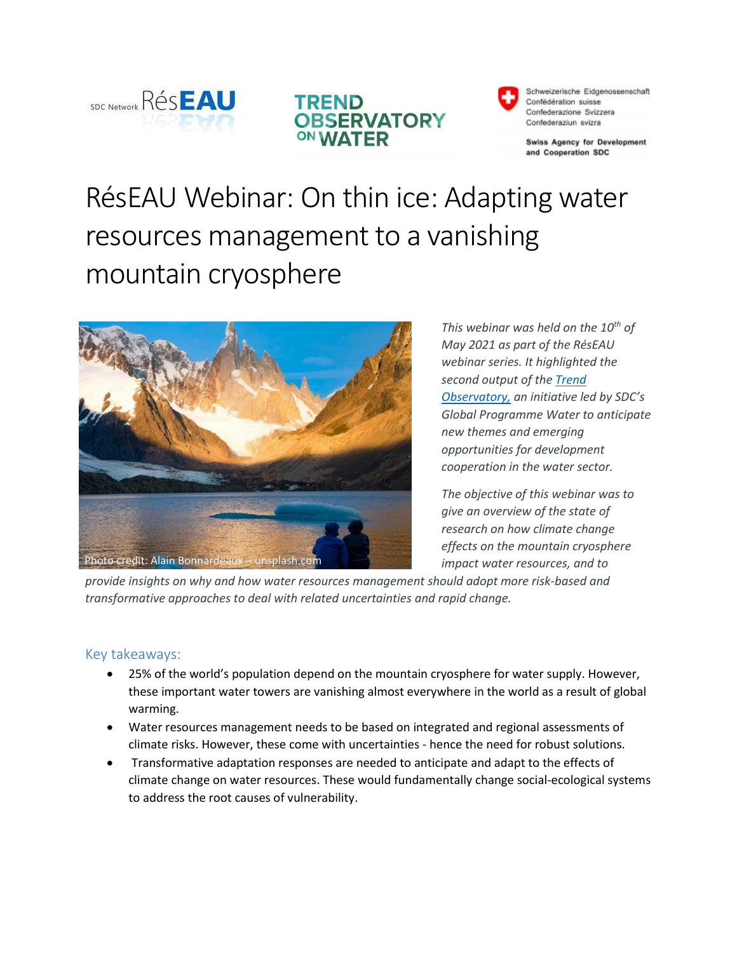





Schweizerische Eidgenossenschaft Confédération suisse Confederazione Svizzera Confederaziun svizra

**Swiss Agency for Development** and Cooperation SDC

# RésEAU Webinar: On thin ice: Adapting water resources management to a vanishing mountain cryosphere



*This webinar was held on the 10th of May 2021 as part of the RésEAU webinar series. It highlighted the second output of th[e Trend](https://hazu.swiss/deza/trend-observatory-on-water)  [Observatory,](https://hazu.swiss/deza/trend-observatory-on-water) an initiative led by SDC's Global Programme Water to anticipate new themes and emerging opportunities for development cooperation in the water sector.*

*The objective of this webinar was to give an overview of the state of research on how climate change effects on the mountain cryosphere impact water resources, and to* 

*provide insights on why and how water resources management should adopt more risk-based and transformative approaches to deal with related uncertainties and rapid change.*

# Key takeaways:

- 25% of the world's population depend on the mountain cryosphere for water supply. However, these important water towers are vanishing almost everywhere in the world as a result of global warming.
- Water resources management needs to be based on integrated and regional assessments of climate risks. However, these come with uncertainties - hence the need for robust solutions.
- Transformative adaptation responses are needed to anticipate and adapt to the effects of climate change on water resources. These would fundamentally change social-ecological systems to address the root causes of vulnerability.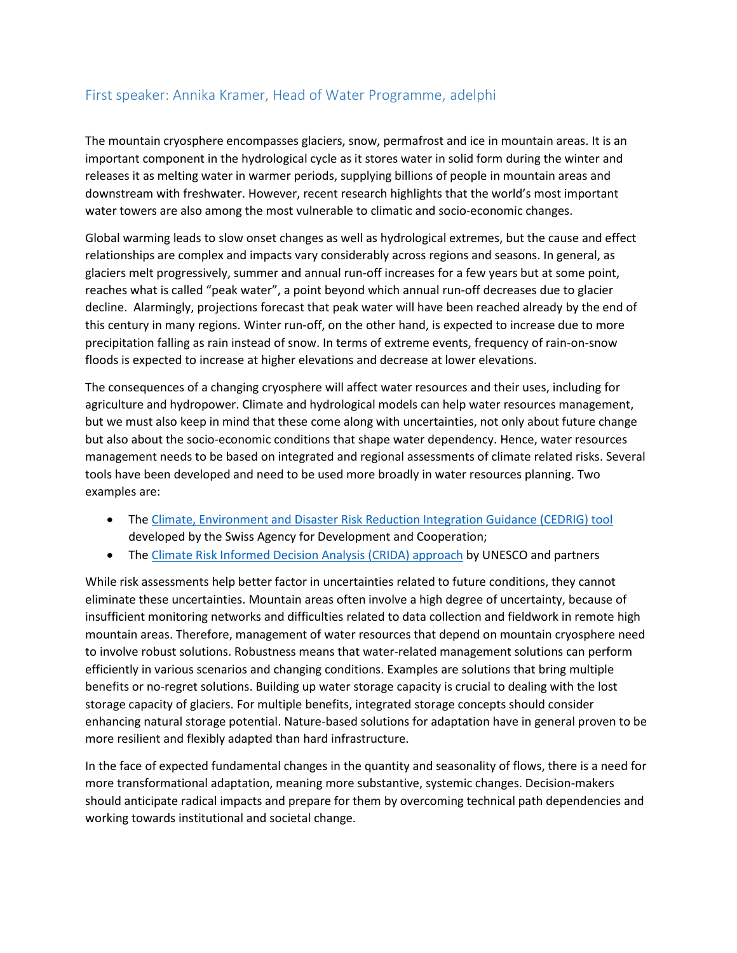# First speaker: Annika Kramer, Head of Water Programme, adelphi

The mountain cryosphere encompasses glaciers, snow, permafrost and ice in mountain areas. It is an important component in the hydrological cycle as it stores water in solid form during the winter and releases it as melting water in warmer periods, supplying billions of people in mountain areas and downstream with freshwater. However, recent research highlights that the world's most important water towers are also among the most vulnerable to climatic and socio-economic changes.

Global warming leads to slow onset changes as well as hydrological extremes, but the cause and effect relationships are complex and impacts vary considerably across regions and seasons. In general, as glaciers melt progressively, summer and annual run-off increases for a few years but at some point, reaches what is called "peak water", a point beyond which annual run-off decreases due to glacier decline. Alarmingly, projections forecast that peak water will have been reached already by the end of this century in many regions. Winter run-off, on the other hand, is expected to increase due to more precipitation falling as rain instead of snow. In terms of extreme events, frequency of rain-on-snow floods is expected to increase at higher elevations and decrease at lower elevations.

The consequences of a changing cryosphere will affect water resources and their uses, including for agriculture and hydropower. Climate and hydrological models can help water resources management, but we must also keep in mind that these come along with uncertainties, not only about future change but also about the socio-economic conditions that shape water dependency. Hence, water resources management needs to be based on integrated and regional assessments of climate related risks. Several tools have been developed and need to be used more broadly in water resources planning. Two examples are:

- The [Climate, Environment and Disaster Risk Reduction Integration Guidance \(CEDRIG\) tool](https://www.cedrig.org/) developed by the Swiss Agency for Development and Cooperation;
- The [Climate Risk Informed Decision Analysis \(CRIDA\) approach](https://en.unesco.org/crida) by UNESCO and partners

While risk assessments help better factor in uncertainties related to future conditions, they cannot eliminate these uncertainties. Mountain areas often involve a high degree of uncertainty, because of insufficient monitoring networks and difficulties related to data collection and fieldwork in remote high mountain areas. Therefore, management of water resources that depend on mountain cryosphere need to involve robust solutions. Robustness means that water-related management solutions can perform efficiently in various scenarios and changing conditions. Examples are solutions that bring multiple benefits or no-regret solutions. Building up water storage capacity is crucial to dealing with the lost storage capacity of glaciers. For multiple benefits, integrated storage concepts should consider enhancing natural storage potential. Nature-based solutions for adaptation have in general proven to be more resilient and flexibly adapted than hard infrastructure.

In the face of expected fundamental changes in the quantity and seasonality of flows, there is a need for more transformational adaptation, meaning more substantive, systemic changes. Decision-makers should anticipate radical impacts and prepare for them by overcoming technical path dependencies and working towards institutional and societal change.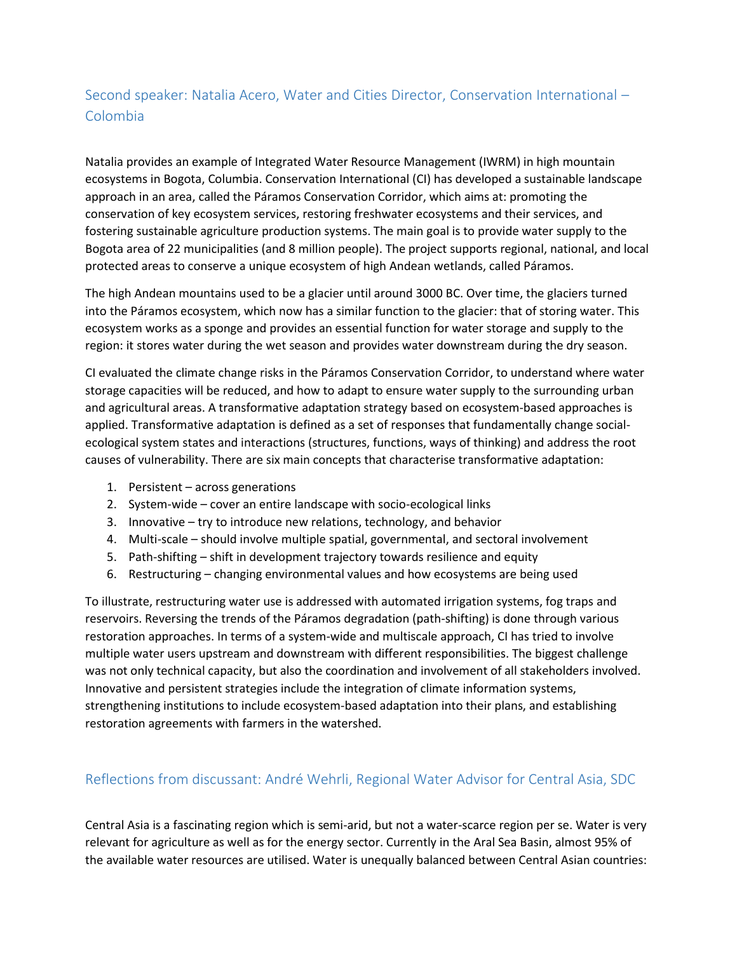# Second speaker: Natalia Acero, Water and Cities Director, Conservation International – Colombia

Natalia provides an example of Integrated Water Resource Management (IWRM) in high mountain ecosystems in Bogota, Columbia. Conservation International (CI) has developed a sustainable landscape approach in an area, called the Páramos Conservation Corridor, which aims at: promoting the conservation of key ecosystem services, restoring freshwater ecosystems and their services, and fostering sustainable agriculture production systems. The main goal is to provide water supply to the Bogota area of 22 municipalities (and 8 million people). The project supports regional, national, and local protected areas to conserve a unique ecosystem of high Andean wetlands, called Páramos.

The high Andean mountains used to be a glacier until around 3000 BC. Over time, the glaciers turned into the Páramos ecosystem, which now has a similar function to the glacier: that of storing water. This ecosystem works as a sponge and provides an essential function for water storage and supply to the region: it stores water during the wet season and provides water downstream during the dry season.

CI evaluated the climate change risks in the Páramos Conservation Corridor, to understand where water storage capacities will be reduced, and how to adapt to ensure water supply to the surrounding urban and agricultural areas. A transformative adaptation strategy based on ecosystem-based approaches is applied. Transformative adaptation is defined as a set of responses that fundamentally change socialecological system states and interactions (structures, functions, ways of thinking) and address the root causes of vulnerability. There are six main concepts that characterise transformative adaptation:

- 1. Persistent across generations
- 2. System-wide cover an entire landscape with socio-ecological links
- 3. Innovative try to introduce new relations, technology, and behavior
- 4. Multi-scale should involve multiple spatial, governmental, and sectoral involvement
- 5. Path-shifting shift in development trajectory towards resilience and equity
- 6. Restructuring changing environmental values and how ecosystems are being used

To illustrate, restructuring water use is addressed with automated irrigation systems, fog traps and reservoirs. Reversing the trends of the Páramos degradation (path-shifting) is done through various restoration approaches. In terms of a system-wide and multiscale approach, CI has tried to involve multiple water users upstream and downstream with different responsibilities. The biggest challenge was not only technical capacity, but also the coordination and involvement of all stakeholders involved. Innovative and persistent strategies include the integration of climate information systems, strengthening institutions to include ecosystem-based adaptation into their plans, and establishing restoration agreements with farmers in the watershed.

# Reflections from discussant: André Wehrli, Regional Water Advisor for Central Asia, SDC

Central Asia is a fascinating region which is semi-arid, but not a water-scarce region per se. Water is very relevant for agriculture as well as for the energy sector. Currently in the Aral Sea Basin, almost 95% of the available water resources are utilised. Water is unequally balanced between Central Asian countries: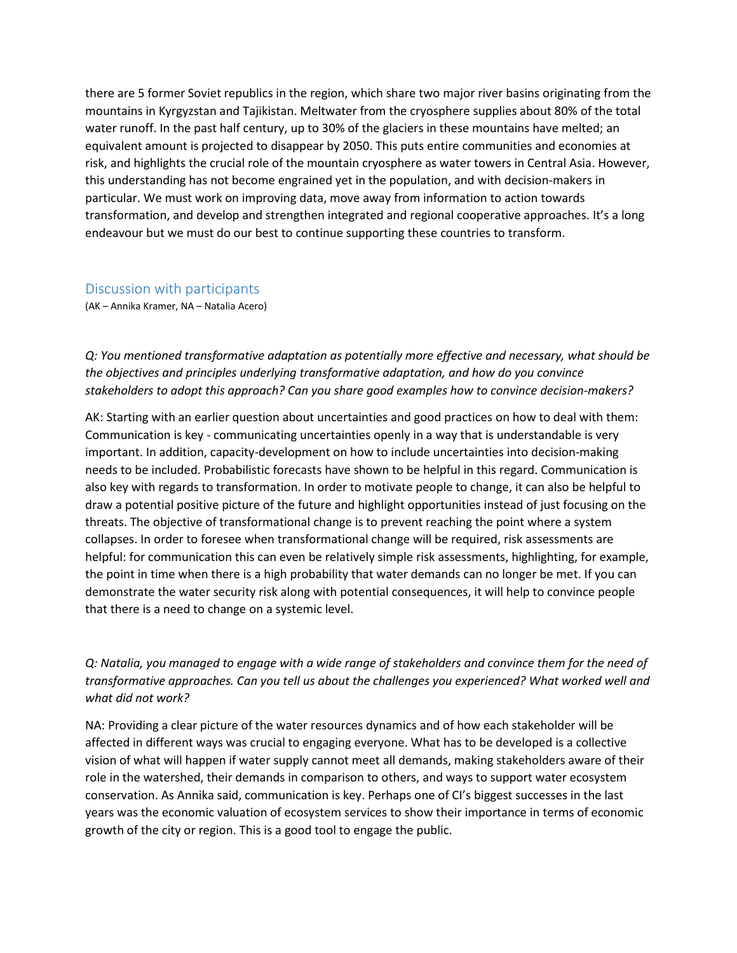there are 5 former Soviet republics in the region, which share two major river basins originating from the mountains in Kyrgyzstan and Tajikistan. Meltwater from the cryosphere supplies about 80% of the total water runoff. In the past half century, up to 30% of the glaciers in these mountains have melted; an equivalent amount is projected to disappear by 2050. This puts entire communities and economies at risk, and highlights the crucial role of the mountain cryosphere as water towers in Central Asia. However, this understanding has not become engrained yet in the population, and with decision-makers in particular. We must work on improving data, move away from information to action towards transformation, and develop and strengthen integrated and regional cooperative approaches. It's a long endeavour but we must do our best to continue supporting these countries to transform.

#### Discussion with participants

(AK – Annika Kramer, NA – Natalia Acero)

*Q: You mentioned transformative adaptation as potentially more effective and necessary, what should be the objectives and principles underlying transformative adaptation, and how do you convince stakeholders to adopt this approach? Can you share good examples how to convince decision-makers?*

AK: Starting with an earlier question about uncertainties and good practices on how to deal with them: Communication is key - communicating uncertainties openly in a way that is understandable is very important. In addition, capacity-development on how to include uncertainties into decision-making needs to be included. Probabilistic forecasts have shown to be helpful in this regard. Communication is also key with regards to transformation. In order to motivate people to change, it can also be helpful to draw a potential positive picture of the future and highlight opportunities instead of just focusing on the threats. The objective of transformational change is to prevent reaching the point where a system collapses. In order to foresee when transformational change will be required, risk assessments are helpful: for communication this can even be relatively simple risk assessments, highlighting, for example, the point in time when there is a high probability that water demands can no longer be met. If you can demonstrate the water security risk along with potential consequences, it will help to convince people that there is a need to change on a systemic level.

*Q: Natalia, you managed to engage with a wide range of stakeholders and convince them for the need of transformative approaches. Can you tell us about the challenges you experienced? What worked well and what did not work?*

NA: Providing a clear picture of the water resources dynamics and of how each stakeholder will be affected in different ways was crucial to engaging everyone. What has to be developed is a collective vision of what will happen if water supply cannot meet all demands, making stakeholders aware of their role in the watershed, their demands in comparison to others, and ways to support water ecosystem conservation. As Annika said, communication is key. Perhaps one of CI's biggest successes in the last years was the economic valuation of ecosystem services to show their importance in terms of economic growth of the city or region. This is a good tool to engage the public.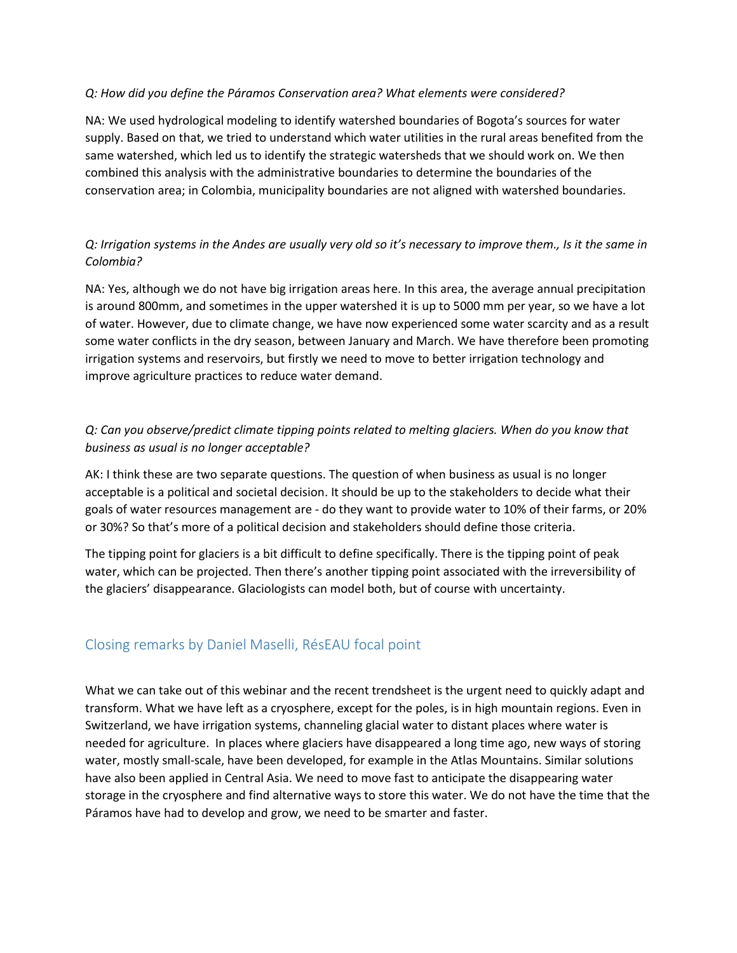#### *Q: How did you define the Páramos Conservation area? What elements were considered?*

NA: We used hydrological modeling to identify watershed boundaries of Bogota's sources for water supply. Based on that, we tried to understand which water utilities in the rural areas benefited from the same watershed, which led us to identify the strategic watersheds that we should work on. We then combined this analysis with the administrative boundaries to determine the boundaries of the conservation area; in Colombia, municipality boundaries are not aligned with watershed boundaries.

#### *Q: Irrigation systems in the Andes are usually very old so it's necessary to improve them., Is it the same in Colombia?*

NA: Yes, although we do not have big irrigation areas here. In this area, the average annual precipitation is around 800mm, and sometimes in the upper watershed it is up to 5000 mm per year, so we have a lot of water. However, due to climate change, we have now experienced some water scarcity and as a result some water conflicts in the dry season, between January and March. We have therefore been promoting irrigation systems and reservoirs, but firstly we need to move to better irrigation technology and improve agriculture practices to reduce water demand.

#### *Q: Can you observe/predict climate tipping points related to melting glaciers. When do you know that business as usual is no longer acceptable?*

AK: I think these are two separate questions. The question of when business as usual is no longer acceptable is a political and societal decision. It should be up to the stakeholders to decide what their goals of water resources management are - do they want to provide water to 10% of their farms, or 20% or 30%? So that's more of a political decision and stakeholders should define those criteria.

The tipping point for glaciers is a bit difficult to define specifically. There is the tipping point of peak water, which can be projected. Then there's another tipping point associated with the irreversibility of the glaciers' disappearance. Glaciologists can model both, but of course with uncertainty.

# Closing remarks by Daniel Maselli, RésEAU focal point

What we can take out of this webinar and the recent trendsheet is the urgent need to quickly adapt and transform. What we have left as a cryosphere, except for the poles, is in high mountain regions. Even in Switzerland, we have irrigation systems, channeling glacial water to distant places where water is needed for agriculture. In places where glaciers have disappeared a long time ago, new ways of storing water, mostly small-scale, have been developed, for example in the Atlas Mountains. Similar solutions have also been applied in Central Asia. We need to move fast to anticipate the disappearing water storage in the cryosphere and find alternative ways to store this water. We do not have the time that the Páramos have had to develop and grow, we need to be smarter and faster.